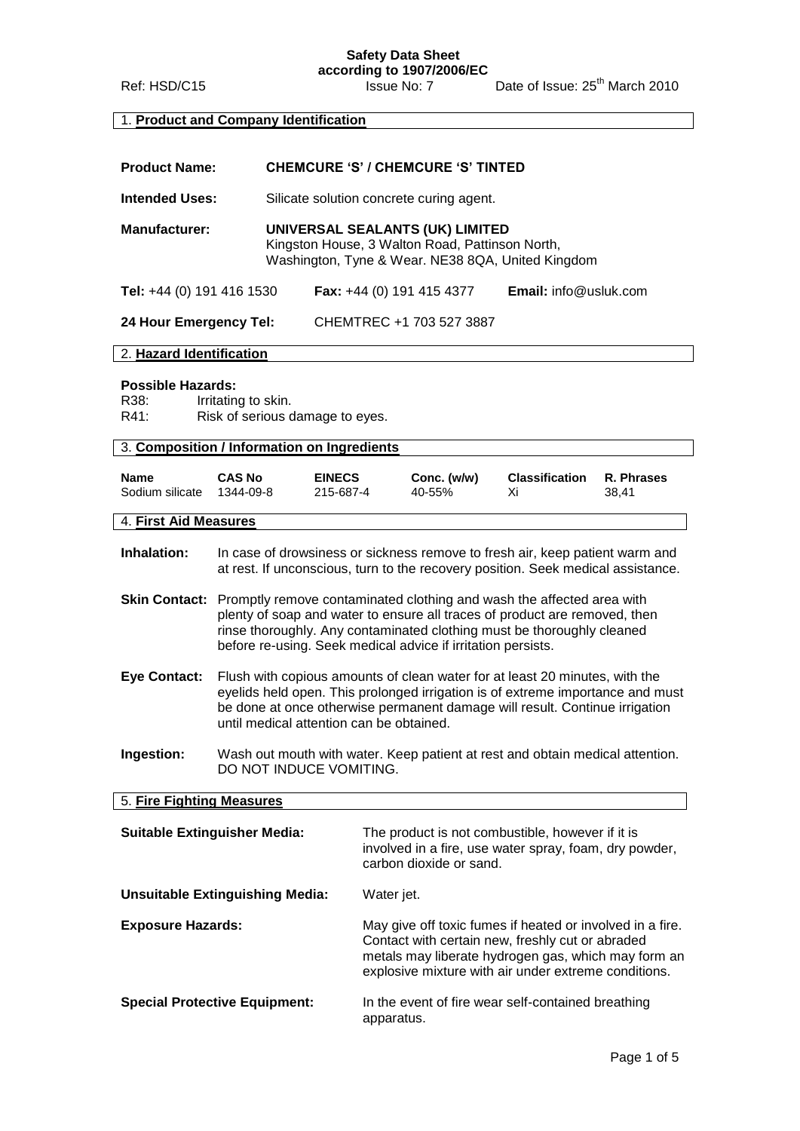**Safety Data Sheet**

**according to 1907/2006/EC** Ref: HSD/C15 Issue No: 7 Date of Issue: 25<sup>th</sup> March 2010

## 1. **Product and Company Identification**

| <b>Product Name:</b>                                                                    |                                                                                                                                                                                                                                                                                          | <b>CHEMCURE 'S' / CHEMCURE 'S' TINTED</b>                                                                                                                                                                                                                                                     |                                                                                                                                         |                                          |                                                                                                                                                                  |                     |
|-----------------------------------------------------------------------------------------|------------------------------------------------------------------------------------------------------------------------------------------------------------------------------------------------------------------------------------------------------------------------------------------|-----------------------------------------------------------------------------------------------------------------------------------------------------------------------------------------------------------------------------------------------------------------------------------------------|-----------------------------------------------------------------------------------------------------------------------------------------|------------------------------------------|------------------------------------------------------------------------------------------------------------------------------------------------------------------|---------------------|
| <b>Intended Uses:</b>                                                                   |                                                                                                                                                                                                                                                                                          |                                                                                                                                                                                                                                                                                               |                                                                                                                                         | Silicate solution concrete curing agent. |                                                                                                                                                                  |                     |
| <b>Manufacturer:</b>                                                                    |                                                                                                                                                                                                                                                                                          |                                                                                                                                                                                                                                                                                               | UNIVERSAL SEALANTS (UK) LIMITED<br>Kingston House, 3 Walton Road, Pattinson North,<br>Washington, Tyne & Wear. NE38 8QA, United Kingdom |                                          |                                                                                                                                                                  |                     |
| Tel: +44 (0) 191 416 1530                                                               |                                                                                                                                                                                                                                                                                          |                                                                                                                                                                                                                                                                                               | <b>Fax:</b> +44 (0) 191 415 4377                                                                                                        |                                          | Email: info@usluk.com                                                                                                                                            |                     |
| 24 Hour Emergency Tel:                                                                  |                                                                                                                                                                                                                                                                                          |                                                                                                                                                                                                                                                                                               |                                                                                                                                         | CHEMTREC +1 703 527 3887                 |                                                                                                                                                                  |                     |
| 2. Hazard Identification                                                                |                                                                                                                                                                                                                                                                                          |                                                                                                                                                                                                                                                                                               |                                                                                                                                         |                                          |                                                                                                                                                                  |                     |
| <b>Possible Hazards:</b><br>R38:<br>R41:<br>3. Composition / Information on Ingredients | Irritating to skin.                                                                                                                                                                                                                                                                      | Risk of serious damage to eyes.                                                                                                                                                                                                                                                               |                                                                                                                                         |                                          |                                                                                                                                                                  |                     |
|                                                                                         |                                                                                                                                                                                                                                                                                          |                                                                                                                                                                                                                                                                                               |                                                                                                                                         |                                          |                                                                                                                                                                  |                     |
| <b>Name</b><br>Sodium silicate                                                          | <b>CAS No</b><br>1344-09-8                                                                                                                                                                                                                                                               | <b>EINECS</b><br>215-687-4                                                                                                                                                                                                                                                                    |                                                                                                                                         | Conc. (w/w)<br>40-55%                    | <b>Classification</b><br>Χi                                                                                                                                      | R. Phrases<br>38,41 |
| 4. First Aid Measures                                                                   |                                                                                                                                                                                                                                                                                          |                                                                                                                                                                                                                                                                                               |                                                                                                                                         |                                          |                                                                                                                                                                  |                     |
| Inhalation:                                                                             |                                                                                                                                                                                                                                                                                          |                                                                                                                                                                                                                                                                                               |                                                                                                                                         |                                          | In case of drowsiness or sickness remove to fresh air, keep patient warm and<br>at rest. If unconscious, turn to the recovery position. Seek medical assistance. |                     |
| <b>Skin Contact:</b>                                                                    |                                                                                                                                                                                                                                                                                          | Promptly remove contaminated clothing and wash the affected area with<br>plenty of soap and water to ensure all traces of product are removed, then<br>rinse thoroughly. Any contaminated clothing must be thoroughly cleaned<br>before re-using. Seek medical advice if irritation persists. |                                                                                                                                         |                                          |                                                                                                                                                                  |                     |
| <b>Eye Contact:</b>                                                                     | Flush with copious amounts of clean water for at least 20 minutes, with the<br>eyelids held open. This prolonged irrigation is of extreme importance and must<br>be done at once otherwise permanent damage will result. Continue irrigation<br>until medical attention can be obtained. |                                                                                                                                                                                                                                                                                               |                                                                                                                                         |                                          |                                                                                                                                                                  |                     |
| Ingestion:                                                                              | Wash out mouth with water. Keep patient at rest and obtain medical attention.<br>DO NOT INDUCE VOMITING.                                                                                                                                                                                 |                                                                                                                                                                                                                                                                                               |                                                                                                                                         |                                          |                                                                                                                                                                  |                     |
| 5. Fire Fighting Measures                                                               |                                                                                                                                                                                                                                                                                          |                                                                                                                                                                                                                                                                                               |                                                                                                                                         |                                          |                                                                                                                                                                  |                     |
| <b>Suitable Extinguisher Media:</b>                                                     |                                                                                                                                                                                                                                                                                          | The product is not combustible, however if it is<br>involved in a fire, use water spray, foam, dry powder,<br>carbon dioxide or sand.                                                                                                                                                         |                                                                                                                                         |                                          |                                                                                                                                                                  |                     |
| <b>Unsuitable Extinguishing Media:</b>                                                  |                                                                                                                                                                                                                                                                                          | Water jet.                                                                                                                                                                                                                                                                                    |                                                                                                                                         |                                          |                                                                                                                                                                  |                     |

**Exposure Hazards:** May give off toxic fumes if heated or involved in a fire. Contact with certain new, freshly cut or abraded metals may liberate hydrogen gas, which may form an explosive mixture with air under extreme conditions.

**Special Protective Equipment:** In the event of fire wear self-contained breathing apparatus.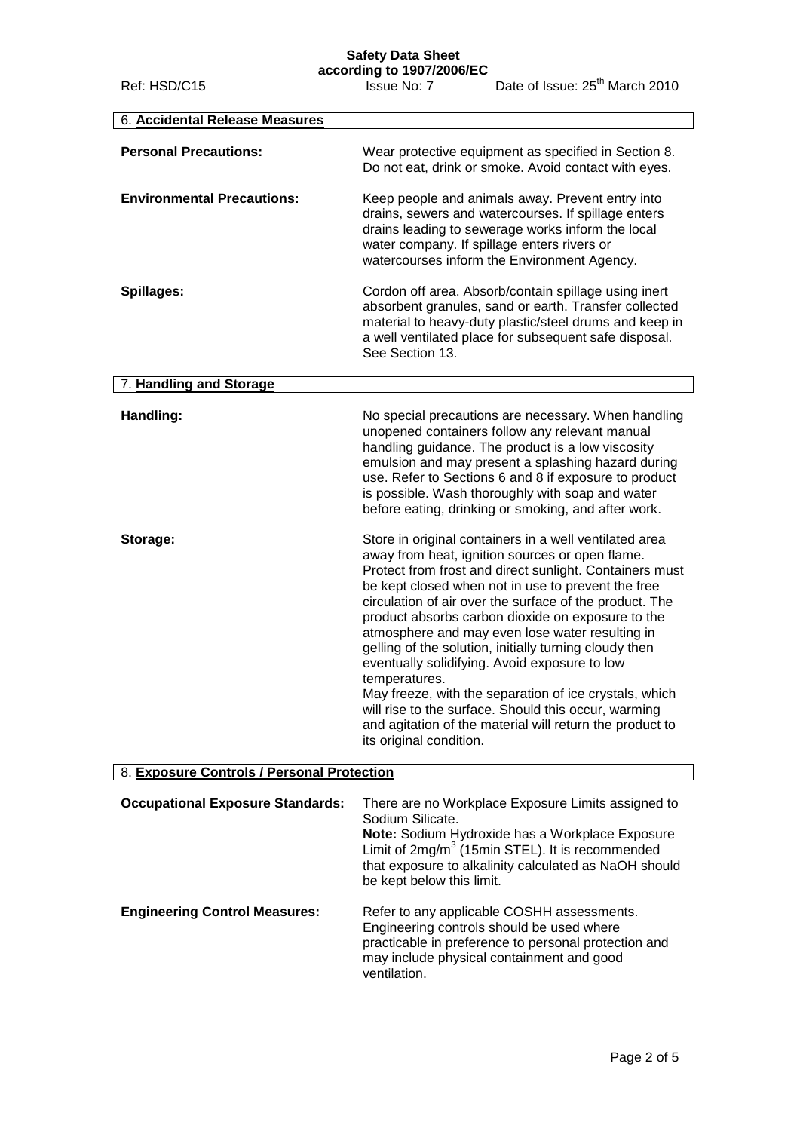## **Safety Data Sheet**

Ref: HSD/C15 Issue No: 7 Date of Issue: 25<sup>th</sup> March 2010

| 6. Accidental Release Measures             |                                                                                                                                                                                                                                                                                                                                                                                                                                                                                                                                                                                                                                                                                                                                    |
|--------------------------------------------|------------------------------------------------------------------------------------------------------------------------------------------------------------------------------------------------------------------------------------------------------------------------------------------------------------------------------------------------------------------------------------------------------------------------------------------------------------------------------------------------------------------------------------------------------------------------------------------------------------------------------------------------------------------------------------------------------------------------------------|
| <b>Personal Precautions:</b>               | Wear protective equipment as specified in Section 8.<br>Do not eat, drink or smoke. Avoid contact with eyes.                                                                                                                                                                                                                                                                                                                                                                                                                                                                                                                                                                                                                       |
| <b>Environmental Precautions:</b>          | Keep people and animals away. Prevent entry into<br>drains, sewers and watercourses. If spillage enters<br>drains leading to sewerage works inform the local<br>water company. If spillage enters rivers or<br>watercourses inform the Environment Agency.                                                                                                                                                                                                                                                                                                                                                                                                                                                                         |
| Spillages:                                 | Cordon off area. Absorb/contain spillage using inert<br>absorbent granules, sand or earth. Transfer collected<br>material to heavy-duty plastic/steel drums and keep in<br>a well ventilated place for subsequent safe disposal.<br>See Section 13.                                                                                                                                                                                                                                                                                                                                                                                                                                                                                |
| 7. Handling and Storage                    |                                                                                                                                                                                                                                                                                                                                                                                                                                                                                                                                                                                                                                                                                                                                    |
| Handling:                                  | No special precautions are necessary. When handling<br>unopened containers follow any relevant manual<br>handling guidance. The product is a low viscosity<br>emulsion and may present a splashing hazard during<br>use. Refer to Sections 6 and 8 if exposure to product<br>is possible. Wash thoroughly with soap and water<br>before eating, drinking or smoking, and after work.                                                                                                                                                                                                                                                                                                                                               |
| Storage:                                   | Store in original containers in a well ventilated area<br>away from heat, ignition sources or open flame.<br>Protect from frost and direct sunlight. Containers must<br>be kept closed when not in use to prevent the free<br>circulation of air over the surface of the product. The<br>product absorbs carbon dioxide on exposure to the<br>atmosphere and may even lose water resulting in<br>gelling of the solution, initially turning cloudy then<br>eventually solidifying. Avoid exposure to low<br>temperatures.<br>May freeze, with the separation of ice crystals, which<br>will rise to the surface. Should this occur, warming<br>and agitation of the material will return the product to<br>its original condition. |
| 8. Exposure Controls / Personal Protection |                                                                                                                                                                                                                                                                                                                                                                                                                                                                                                                                                                                                                                                                                                                                    |
| <b>Occupational Exposure Standards:</b>    | There are no Workplace Exposure Limits assigned to<br>Sodium Silicate.<br>Note: Sodium Hydroxide has a Workplace Exposure<br>Limit of 2mg/m <sup>3</sup> (15min STEL). It is recommended<br>that exposure to alkalinity calculated as NaOH should<br>be kept below this limit.                                                                                                                                                                                                                                                                                                                                                                                                                                                     |
| <b>Engineering Control Measures:</b>       | Refer to any applicable COSHH assessments                                                                                                                                                                                                                                                                                                                                                                                                                                                                                                                                                                                                                                                                                          |

**Engineering Control Measures:** Refer to any applicable COSHH assessments. Engineering controls should be used where practicable in preference to personal protection and may include physical containment and good ventilation.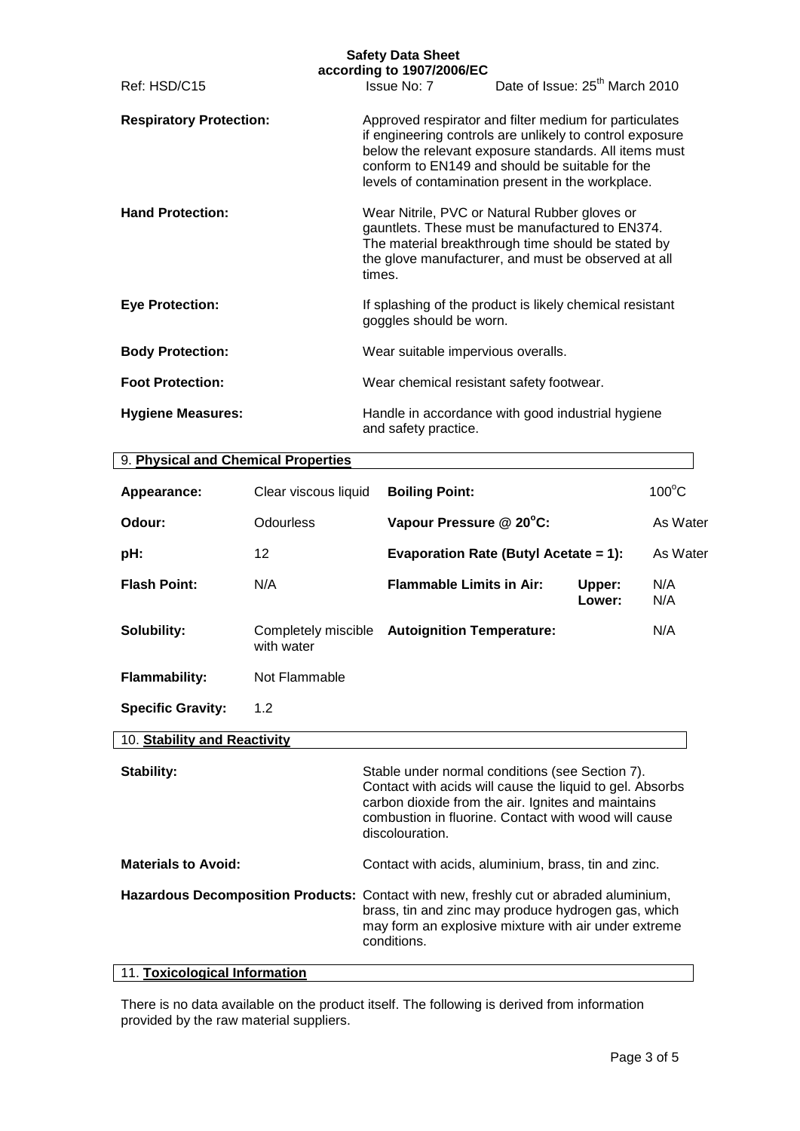|                                | <b>Safety Data Sheet</b><br>according to 1907/2006/EC |                                                                                                                                                                                                                                                                                     |
|--------------------------------|-------------------------------------------------------|-------------------------------------------------------------------------------------------------------------------------------------------------------------------------------------------------------------------------------------------------------------------------------------|
| Ref: HSD/C15                   |                                                       | Issue No: 7 Date of Issue: 25 <sup>th</sup> March 2010                                                                                                                                                                                                                              |
| <b>Respiratory Protection:</b> |                                                       | Approved respirator and filter medium for particulates<br>if engineering controls are unlikely to control exposure<br>below the relevant exposure standards. All items must<br>conform to EN149 and should be suitable for the<br>levels of contamination present in the workplace. |
| <b>Hand Protection:</b>        | times.                                                | Wear Nitrile, PVC or Natural Rubber gloves or<br>gauntlets. These must be manufactured to EN374.<br>The material breakthrough time should be stated by<br>the glove manufacturer, and must be observed at all                                                                       |
| <b>Eye Protection:</b>         | goggles should be worn.                               | If splashing of the product is likely chemical resistant                                                                                                                                                                                                                            |
| <b>Body Protection:</b>        | Wear suitable impervious overalls.                    |                                                                                                                                                                                                                                                                                     |
| <b>Foot Protection:</b>        | Wear chemical resistant safety footwear.              |                                                                                                                                                                                                                                                                                     |
| <b>Hygiene Measures:</b>       | and safety practice.                                  | Handle in accordance with good industrial hygiene                                                                                                                                                                                                                                   |

| 9. Physical and Chemical Properties |                                   |                                       |                  |                 |
|-------------------------------------|-----------------------------------|---------------------------------------|------------------|-----------------|
| Appearance:                         | Clear viscous liquid              | <b>Boiling Point:</b>                 |                  | $100^{\circ}$ C |
| Odour:                              | Odourless                         | Vapour Pressure @ 20°C:               |                  | As Water        |
| pH:                                 | 12                                | Evaporation Rate (Butyl Acetate = 1): |                  | As Water        |
| <b>Flash Point:</b>                 | N/A                               | <b>Flammable Limits in Air:</b>       | Upper:<br>Lower: | N/A<br>N/A      |
| Solubility:                         | Completely miscible<br>with water | <b>Autoignition Temperature:</b>      |                  | N/A             |
| <b>Flammability:</b>                | Not Flammable                     |                                       |                  |                 |
| <b>Specific Gravity:</b>            | 1.2                               |                                       |                  |                 |
| 10. Stability and Reactivity        |                                   |                                       |                  |                 |

| Stability:                 | Stable under normal conditions (see Section 7).<br>Contact with acids will cause the liquid to gel. Absorbs<br>carbon dioxide from the air. Ignites and maintains<br>combustion in fluorine. Contact with wood will cause<br>discolouration. |
|----------------------------|----------------------------------------------------------------------------------------------------------------------------------------------------------------------------------------------------------------------------------------------|
| <b>Materials to Avoid:</b> | Contact with acids, aluminium, brass, tin and zinc.                                                                                                                                                                                          |
|                            | Hazardous Decomposition Products: Contact with new, freshly cut or abraded aluminium,<br>brass, tin and zinc may produce hydrogen gas, which<br>may form an explosive mixture with air under extreme<br>conditions.                          |

#### 11. **Toxicological Information**

There is no data available on the product itself. The following is derived from information provided by the raw material suppliers.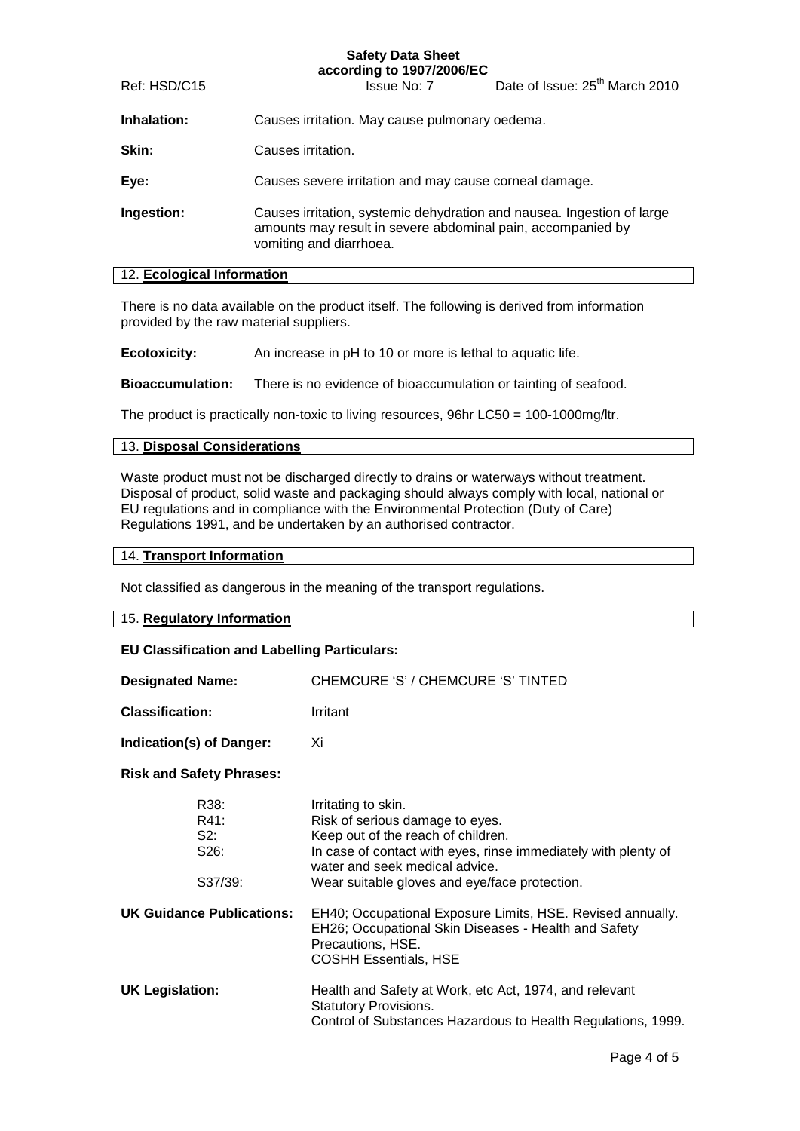#### **Safety Data Sheet according to 1907/2006/EC**

Ref: HSD/C15 Issue No: 7 Date of Issue: 25th March 2010

**Inhalation:** Causes irritation. May cause pulmonary oedema.

**Skin:** Causes irritation.

**Eye:** Causes severe irritation and may cause corneal damage.

**Ingestion:** Causes irritation, systemic dehydration and nausea. Ingestion of large amounts may result in severe abdominal pain, accompanied by vomiting and diarrhoea.

#### 12. **Ecological Information**

There is no data available on the product itself. The following is derived from information provided by the raw material suppliers.

**Ecotoxicity:** An increase in pH to 10 or more is lethal to aquatic life.

**Bioaccumulation:** There is no evidence of bioaccumulation or tainting of seafood.

The product is practically non-toxic to living resources, 96hr LC50 = 100-1000mg/ltr.

#### 13. **Disposal Considerations**

Waste product must not be discharged directly to drains or waterways without treatment. Disposal of product, solid waste and packaging should always comply with local, national or EU regulations and in compliance with the Environmental Protection (Duty of Care) Regulations 1991, and be undertaken by an authorised contractor.

#### 14. **Transport Information**

Not classified as dangerous in the meaning of the transport regulations.

# 15. **Regulatory Information EU Classification and Labelling Particulars:**

| <b>Designated Name:</b>                             | CHEMCURE 'S' / CHEMCURE 'S' TINTED                                                                                                                                                                                                                |
|-----------------------------------------------------|---------------------------------------------------------------------------------------------------------------------------------------------------------------------------------------------------------------------------------------------------|
| <b>Classification:</b>                              | Irritant                                                                                                                                                                                                                                          |
| Indication(s) of Danger:                            | Xi                                                                                                                                                                                                                                                |
| <b>Risk and Safety Phrases:</b>                     |                                                                                                                                                                                                                                                   |
| R38:<br>R41:<br>S2:<br>S <sub>26</sub> :<br>S37/39: | Irritating to skin.<br>Risk of serious damage to eyes.<br>Keep out of the reach of children.<br>In case of contact with eyes, rinse immediately with plenty of<br>water and seek medical advice.<br>Wear suitable gloves and eye/face protection. |
| UK Guidance Publications:                           | EH40; Occupational Exposure Limits, HSE. Revised annually.<br>EH26; Occupational Skin Diseases - Health and Safety<br>Precautions, HSE.<br><b>COSHH Essentials, HSE</b>                                                                           |
| <b>UK Legislation:</b>                              | Health and Safety at Work, etc Act, 1974, and relevant<br><b>Statutory Provisions.</b><br>Control of Substances Hazardous to Health Regulations, 1999.                                                                                            |